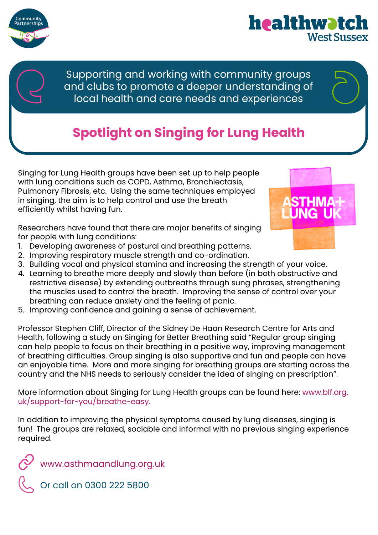

Supporting and working with community groups and clubs to promote a deeper understanding of local health and care needs and experiences

## **Spotlight on Singing for Lung Health**

Singing for Lung Health groups have been set up to help people with lung conditions such as COPD, Asthma, Bronchiectasis, Pulmonary Fibrosis, etc. Using the same techniques employed in singing, the aim is to help control and use the breath efficiently whilst having fun.

Researchers have found that there are major benefits of singing for people with lung conditions:

- 1. Developing awareness of postural and breathing patterns.
- 2. Improving respiratory muscle strength and co-ordination.
- 3. Building vocal and physical stamina and increasing the strength of your voice.
- 4. Learning to breathe more deeply and slowly than before (in both obstructive and restrictive disease) by extending outbreaths through sung phrases, strengthening the muscles used to control the breath. Improving the sense of control over your breathing can reduce anxiety and the feeling of panic.
- 5. Improving confidence and gaining a sense of achievement.

Professor Stephen Cliff, Director of the Sidney De Haan Research Centre for Arts and Health, following a study on Singing for Better Breathing said "Regular group singing can help people to focus on their breathing in a positive way, improving management of breathing difficulties. Group singing is also supportive and fun and people can have an enjoyable time. More and more singing for breathing groups are starting across the country and the NHS needs to seriously consider the idea of singing on prescription".

More information about Singing for Lung Health groups can be found here: [www.blf.org.](https://www.blf.org.uk/support-for-you/breathe-easy) [uk/support-for-you/breathe-easy.](https://www.blf.org.uk/support-for-you/breathe-easy)

In addition to improving the physical symptoms caused by lung diseases, singing is fun! The groups are relaxed, sociable and informal with no previous singing experience required.

[www.asthmaandlung.org.uk](https://www.asthmaandlung.org.uk/)

healthwatcl

**West Sussex** 

Or call on 0300 222 5800